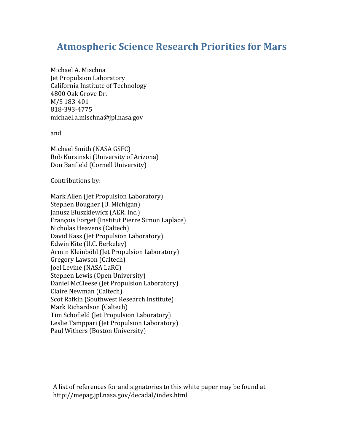# **Atmospheric
Science
Research
Priorities
for
Mars**

Michael
A.
Mischna Jet
Propulsion
Laboratory California
Institute
of
Technology 4800
Oak
Grove
Dr. M/S
183‐401 818‐393‐4775 michael.a.mischna@jpl.nasa.gov

and

Michael
Smith
(NASA
GSFC) Rob
Kursinski
(University
of
Arizona) Don
Banfield
(Cornell
University)

Contributions
by:

Mark
Allen
(Jet
Propulsion
Laboratory) Stephen
Bougher
(U.
Michigan) Janusz
Eluszkiewicz
(AER,
Inc.) François
Forget
(Institut
Pierre
Simon
Laplace) Nicholas
Heavens
(Caltech) David
Kass
(Jet
Propulsion
Laboratory) Edwin
Kite
(U.C.
Berkeley) Armin
Kleinböhl
(Jet
Propulsion
Laboratory) Gregory
Lawson
(Caltech) Joel
Levine
(NASA
LaRC) Stephen
Lewis
(Open
University) Daniel
McCleese
(Jet
Propulsion
Laboratory) Claire
Newman
(Caltech) Scot
Rafkin
(Southwest
Research
Institute) Mark
Richardson
(Caltech) Tim
Schofield
(Jet
Propulsion
Laboratory) Leslie
Tamppari
(Jet
Propulsion
Laboratory) Paul
Withers
(Boston
University)

A list of references for and signatories to this white paper may be found at http://mepag.jpl.nasa.gov/decadal/index.html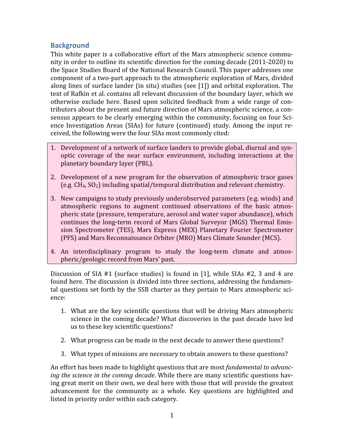## **Background**

This
white
paper
is
a
collaborative
effort
of
 the
Mars
atmospheric
science
commu‐ nity in order to outline its scientific direction for the coming decade (2011-2020) to the
Space
Studies
Board
of
the
National
Research
Council.
This
paper
addresses
one component of a two-part approach to the atmospheric exploration of Mars, divided along
lines
of
surface
lander
(in
situ)
studies
(see
[1])
and
orbital
exploration.
The text of Rafkin et al. contains all relevant discussion of the boundary layer, which we otherwise exclude here. Based upon solicited feedback from a wide range of contributors about the present and future direction of Mars atmospheric science, a consensus appears to be clearly emerging within the community, focusing on four Science Investigation Areas (SIAs) for future (continued) study. Among the input received,
the
following
were
the
four
SIAs
most
commonly
cited:

- 1. Development of a network of surface landers to provide global, diurnal and synoptic
 coverage
 of
 the
 near
 surface
 environment,
 including
 interactions
 at
 the planetary
boundary
layer
(PBL).
- 2. Development of a new program for the observation of atmospheric trace gases (e.g.
CH4,
SO2)
including
spatial/temporal
distribution
and
relevant
chemistry.
- 3. New
campaigns
to
study
previously
underobserved
parameters
(e.g.
winds)
and atmospheric regions to augment continued observations of the basic atmospheric
state
(pressure,
temperature,
aerosol
and
water
vapor
abundance),
which continues the long-term record of Mars Global Surveyor (MGS) Thermal Emission
 Spectrometer
 (TES),
 Mars
 Express
 (MEX)
 Planetary
 Fourier Spectrometer (PFS)
and
Mars
Reconnaissance
Orbiter
(MRO)
Mars
Climate
Sounder
(MCS).
- 4. An interdisciplinary program to study the long-term climate and atmospheric/geologic
record
from
Mars'
past.

Discussion of SIA #1 (surface studies) is found in [1], while SIAs #2, 3 and 4 are found here. The discussion is divided into three sections, addressing the fundamental questions set forth by the SSB charter as they pertain to Mars atmospheric science:

- 1. What
are
 the
key
scientific
questions
 that
will
be
driving
Mars
atmospheric science
in
the
coming
decade?
What
discoveries
in
the
past
decade
have
led us
to
these
key
scientific
questions?
- 2. What
progress
can
be
made
in
the
next
decade
to
answer
these
questions?
- 3. What
types
of
missions
are
necessary
to
obtain
answers
to
these
questions?

An
effort
has
been
made
to
highlight
questions
that
are
most *fundamental
to
advancing the science in the coming decade.* While there are many scientific questions haying
great
merit
on
their
own,
we
deal
here
with
those
that
will
provide
the
greatest advancement for the community as a whole. Key questions are highlighted and listed
in
priority
order
within
each
category.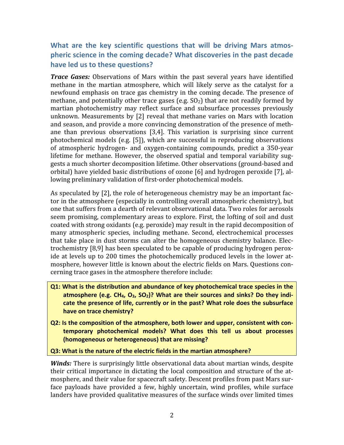## What are the key scientific questions that will be driving Mars atmospheric science in the coming decade? What discoveries in the past decade **have
led
us
to
these
questions?**

*Trace Gases:* Observations of Mars within the past several years have identified methane in the martian atmosphere, which will likely serve as the catalyst for a newfound emphasis on trace gas chemistry in the coming decade. The presence of methane, and potentially other trace gases (e.g. SO<sub>2</sub>) that are not readily formed by martian photochemistry may reflect surface and subsurface processes previously unknown. Measurements by [2] reveal that methane varies on Mars with location and season, and provide a more convincing demonstration of the presence of methane
 than
 previous
 observations
 [3,4].
 This variation is
 surprising
 since
 current photochemical
models (e.g.
 [5]),
which
are
 successful
in
 reproducing
 observations of
 atmospheric
 hydrogen‐
 and
 oxygen‐containing
 compounds, predict
 a
 350‐year lifetime for methane. However, the observed spatial and temporal variability suggests
a
much
shorter
decomposition
lifetime. Other
observations
(ground‐based
and orbital)
have
yielded
basic
distributions
of
ozone
[6]
and
hydrogen
peroxide
[7],
al‐ lowing preliminary validation of first-order photochemical models.

As speculated by [2], the role of heterogeneous chemistry may be an important factor
in
the
atmosphere
(especially
in
controlling
overall
atmospheric
chemistry),
but one
that
suffers
from
a
dearth
of
relevant
observational
data.
Two
roles
for
aerosols seem promising, complementary areas to explore. First, the lofting of soil and dust coated
with
strong
oxidants
(e.g.
peroxide)
may
result
in
the
rapid
decomposition
of many atmospheric species, including methane. Second, electrochemical processes that take place in dust storms can alter the homogeneous chemistry balance. Electrochemistry
[8,9]
has
been
speculated
to
be
capable
of
producing
hydrogen
perox‐ ide at levels up to 200 times the photochemically produced levels in the lower atmosphere, however little is known about the electric fields on Mars. Questions concerning
trace
gases
in
the
atmosphere
therefore
include:

- Q1: What is the distribution and abundance of key photochemical trace species in the atmosphere (e.g. CH<sub>4</sub>, O<sub>3</sub>, SO<sub>2</sub>)? What are their sources and sinks? Do they indicate the presence of life, currently or in the past? What role does the subsurface **have
on
trace
chemistry?**
- Q2: Is the composition of the atmosphere, both lower and upper, consistent with contemporary photochemical models? What does this tell us about processes **(homogeneous
or
heterogeneous)
that
are
missing?**

Q3: What is the nature of the electric fields in the martian atmosphere?

Winds: There is surprisingly little observational data about martian winds, despite their critical importance in dictating the local composition and structure of the atmosphere, and their value for spacecraft safety. Descent profiles from past Mars surface payloads have provided a few, highly uncertain, wind profiles, while surface landers have provided qualitative measures of the surface winds over limited times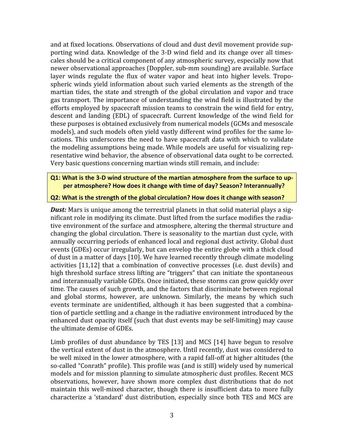and at fixed locations. Observations of cloud and dust devil movement provide supporting wind data. Knowledge of the 3-D wind field and its change over all timescales
should
be
a
critical
component
of
any
atmospheric
survey,
especially
now
that newer
observational
approaches
(Doppler,
sub‐mm
sounding)
are
available.
Surface layer winds regulate the flux of water vapor and heat into higher levels. Tropospheric winds vield information about such varied elements as the strength of the martian tides, the state and strength of the global circulation and vapor and trace gas
 transport.
The
importance
of
understanding
 the
wind
 field
is
illustrated
by
 the efforts
employed
by
spacecraft
mission
teams
to
constrain
the
wind
field
for
entry, descent and landing (EDL) of spacecraft. Current knowledge of the wind field for these
purposes
is
obtained
exclusively
from
numerical
models
(GCMs
and
mesoscale models), and such models often vield vastly different wind profiles for the same locations. This underscores the need to have spacecraft data with which to validate the modeling assumptions being made. While models are useful for visualizing representative wind behavior, the absence of observational data ought to be corrected. Very
basic
questions
concerning
martian
winds
still
remain,
and
include:

#### Q1: What is the 3-D wind structure of the martian atmosphere from the surface to upper atmosphere? How does it change with time of day? Season? Interannually?

#### Q2: What is the strength of the global circulation? How does it change with season?

**Dust:** Mars is unique among the terrestrial planets in that solid material plays a significant role in modifying its climate. Dust lifted from the surface modifies the radiative environment of the surface and atmosphere, altering the thermal structure and changing
the
global
circulation.
There
is
seasonality
to
the
martian
dust
cycle,
with annually occurring periods of enhanced local and regional dust activity. Global dust events (GDEs) occur irregularly, but can envelop the entire globe with a thick cloud of
dust
in
a
matter
of
days
[10].
We
have
learned
recently
through
climate
modeling activities [11,12] that a combination of convective processes (i.e. dust devils) and high threshold surface stress lifting are "triggers" that can initiate the spontaneous and
interannually
variable
GDEs.
Once
initiated,
these
storms
can
grow
quickly
over time. The causes of such growth, and the factors that discriminate between regional and
 global
 storms,
 however,
 are
 unknown.
 Similarly,
 the
 means
 by
 which
 such events terminate are unidentified, although it has been suggested that a combination of particle settling and a change in the radiative environment introduced by the enhanced dust opacity itself (such that dust events may be self-limiting) may cause the
ultimate
demise
of
GDEs.

Limb profiles of dust abundance by TES [13] and MCS [14] have begun to resolve the
vertical
extent
of
dust
in
the
atmosphere.
Until
recently,
dust
was
considered
to be well mixed in the lower atmosphere, with a rapid fall-off at higher altitudes (the so-called "Conrath" profile). This profile was (and is still) widely used by numerical models and for mission planning to simulate atmospheric dust profiles. Recent MCS observations, however, have shown more complex dust distributions that do not maintain this well-mixed character, though there is insufficient data to more fully characterize a 'standard' dust distribution, especially since both TES and MCS are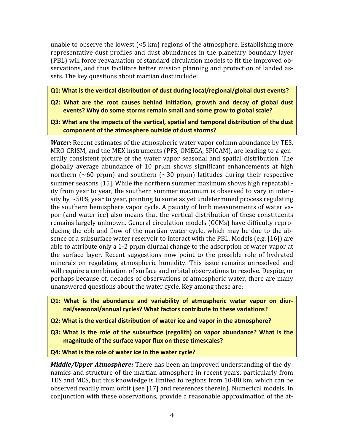unable
to
observe
the
lowest
(<5
km)
regions
of
the
atmosphere.
Establishing
more representative dust profiles and dust abundances in the planetary boundary layer (PBL)
will
force
reevaluation
of
standard
circulation
models
to
fit
the
improved
ob‐ servations, and thus facilitate better mission planning and protection of landed assets.
The
key
questions
about
martian
dust
include:

Q1: What is the vertical distribution of dust during local/regional/global dust events?

- Q2: What are the root causes behind initiation, growth and decay of global dust events? Why do some storms remain small and some grow to global scale?
- Q3: What are the impacts of the vertical, spatial and temporal distribution of the dust **component
of
the
atmosphere
outside
of
dust
storms?**

*Water:* Recent estimates of the atmospheric water vapor column abundance by TES, MRO CRISM, and the MEX instruments (PFS, OMEGA, SPICAM), are leading to a generally consistent picture of the water vapor seasonal and spatial distribution. The globally average abundance of 10 prµm shows significant enhancements at high northern ( $\sim 60$  pr $\mu$ m) and southern ( $\sim 30$  pr $\mu$ m) latitudes during their respective summer seasons [15]. While the northern summer maximum shows high repeatability from year to year, the southern summer maximum is observed to vary in intensity by  $\sim$  50% year to year, pointing to some as yet undetermined process regulating the southern hemisphere vapor cycle. A paucity of limb measurements of water vapor (and water ice) also means that the vertical distribution of these constituents remains largely unknown. General circulation models (GCMs) have difficulty reproducing the ebb and flow of the martian water cycle, which may be due to the absence of a subsurface water reservoir to interact with the PBL. Models (e.g. [16]) are able to attribute only a 1-2 prum diurnal change to the adsorption of water vapor at the surface layer. Recent suggestions now point to the possible role of hydrated minerals on regulating atmospheric humidity. This issue remains unresolved and will require a combination of surface and orbital observations to resolve. Despite, or perhaps
because
of,
decades
of
observations
of
atmospheric
water,
there
are
many unanswered
questions
about
the
water
cycle.
Key
among
these
are:

**Q1: What is the abundance and variability of atmospheric water vapor on diur**nal/seasonal/annual cycles? What factors contribute to these variations?

**Q2: What is the vertical distribution of water ice and vapor in the atmosphere?** 

Q3: What is the role of the subsurface (regolith) on vapor abundance? What is the magnitude of the surface vapor flux on these timescales?

Q4: What is the role of water ice in the water cycle?

Middle/Upper Atmosphere: There has been an improved understanding of the dynamics and structure of the martian atmosphere in recent years, particularly from TES
and
MCS,
but
this
knowledge
is
limited
to
regions
from
10‐80
km,
which
can
be observed readily from orbit (see [17] and references therein). Numerical models, in conjunction with these observations, provide a reasonable approximation of the at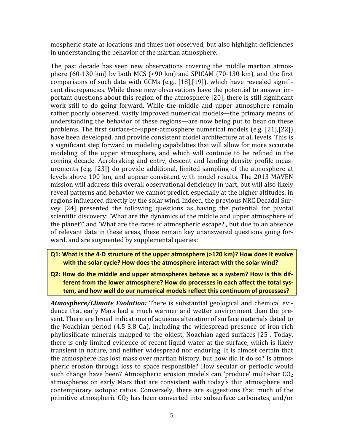mospheric
state
at
locations
and
times
not
observed,
but
also
highlight
deficiencies in
understanding
the
behavior
of
the
martian
atmosphere.

The past decade has seen new observations covering the middle martian atmosphere  $(60-130 \text{ km})$  by both MCS  $(\leq 90 \text{ km})$  and SPICAM  $(70-130 \text{ km})$ , and the first comparisons of such data with GCMs (e.g., [18],[19]), which have revealed significant discrepancies. While these new observations have the potential to answer important
questions
about
this
region
of
the
atmosphere
[20],
there
is
still
significant work still to do going forward. While the middle and upper atmosphere remain rather poorly observed, vastly improved numerical models—the primary means of understanding the behavior of these regions—are now being put to bear on these problems.
The
 first
surface‐to‐upper‐atmosphere
numerical
models
 (e.g.
 [21],[22]) have been developed, and provide consistent model architecture at all levels. This is a significant step forward in modeling capabilities that will allow for more accurate modeling of the upper atmosphere, and which will continue to be refined in the coming decade. Aerobraking and entry, descent and landing density profile measurements
 (e.g.
 [23])
 do
 provide
 additional,
limited
 sampling
 of
 the
 atmosphere
 at levels above 100 km, and appear consistent with model results. The 2013 MAVEN mission
will
address
this
overall
observational
deficiency
in
part,
but
will
also
likely reveal
patterns
and
behavior
we
cannot
predict,
especially
at
the
higher
altitudes,
in regions influenced directly by the solar wind. Indeed, the previous NRC Decadal Survey
 [24]
 presented
 the
 following
 questions as
 having
 the
 potential
 for
 pivotal scientific discovery: 'What are the dynamics of the middle and upper atmosphere of the
planet?'
and
'What
are
the
rates
of
atmospheric
escape?',
but
due
to
an
absence of
relevant
data
in
 these
areas,
 these
remain
key
unanswered
questions
going
 for‐ ward,
and
are
augmented
by
supplemental
queries:

- Q1: What is the 4-D structure of the upper atmosphere (>120 km)? How does it evolve with the solar cycle? How does the atmosphere interact with the solar wind?
- Q2: How do the middle and upper atmospheres behave as a system? How is this different from the lower atmosphere? How do processes in each affect the total system, and how well do our numerical models reflect this continuum of processes?

Atmosphere/Climate Evolution: There is substantial geological and chemical evidence that early Mars had a much warmer and wetter environment than the present. There are broad indications of aqueous alteration of surface materials dated to the
 Noachian
 period
 (4.5‐3.8
 Ga),
 including
 the
 widespread
 presence
 of
 iron‐rich phyllosilicate
minerals
mapped
 to
 the
 oldest,
Noachian‐aged
 surfaces
 [25].
 Today, there
is
 only
limited
evidence
 of
 recent
liquid
water
at
 the
 surface,
which
is
likely transient in nature, and neither widespread nor enduring. It is almost certain that the atmosphere has lost mass over martian history, but how did it do so? Is atmospheric erosion through loss to space responsible? How secular or periodic would such change have been? Atmospheric erosion models can 'produce' multi-bar CO<sub>2</sub> atmospheres on early Mars that are consistent with today's thin atmosphere and contemporary
 isotopic
 ratios.
 Conversely,
 there
 are
 suggestions
 that
 much
 of
 the primitive atmospheric  $CO<sub>2</sub>$  has been converted into subsurface carbonates, and/or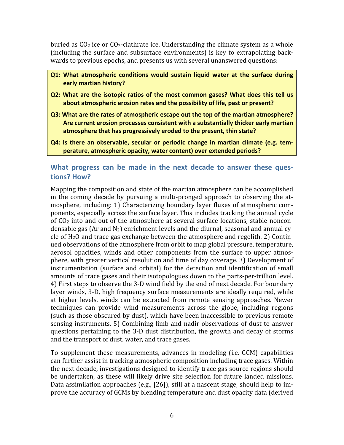buried as  $CO<sub>2</sub>$  ice or  $CO<sub>2</sub>$ -clathrate ice. Understanding the climate system as a whole (including the surface and subsurface environments) is key to extrapolating backwards to previous epochs, and presents us with several unanswered questions:

- Q1: What atmospheric conditions would sustain liquid water at the surface during **early
martian
history?**
- Q2: What are the isotopic ratios of the most common gases? What does this tell us about atmospheric erosion rates and the possibility of life, past or present?
- Q3: What are the rates of atmospheric escape out the top of the martian atmosphere? Are current erosion processes consistent with a substantially thicker early martian atmosphere that has progressively eroded to the present, thin state?
- Q4: Is there an observable, secular or periodic change in martian climate (e.g. tem**perature,
atmospheric
opacity,
water
content)
over
extended
periods?**

## What progress can be made in the next decade to answer these ques**tions?
How?**

Mapping the composition and state of the martian atmosphere can be accomplished in the coming decade by pursuing a multi-pronged approach to observing the atmosphere,
including:
1)
Characterizing
boundary
layer
 fluxes
of
atmospheric
com‐ ponents,
especially
across
the
surface
layer.
This
includes
tracking
the
annual
cycle of  $CO<sub>2</sub>$  into and out of the atmosphere at several surface locations, stable noncondensable gas (Ar and  $N_2$ ) enrichment levels and the diurnal, seasonal and annual cycle of  $H_2O$  and trace gas exchange between the atmosphere and regolith. 2) Continued observations of the atmosphere from orbit to map global pressure, temperature, aerosol opacities, winds and other components from the surface to upper atmosphere, with greater vertical resolution and time of day coverage. 3) Development of instrumentation (surface and orbital) for the detection and identification of small amounts of trace gases and their isotopologues down to the parts-per-trillion level. 4)
First
steps
to
observe
the
3‐D
wind
field
by
the
end
of
next
decade.
For
boundary layer winds, 3-D, high frequency surface measurements are ideally required, while at
 higher
 levels,
 winds
 can
 be
 extracted
 from
 remote
 sensing
 approaches.
 Newer techniques
 can
 provide
 wind
 measurements
 across
 the
 globe,
 including
 regions (such
as
those
obscured
by
dust),
which
have
been
inaccessible
to
previous
remote sensing instruments. 5) Combining limb and nadir observations of dust to answer questions
 pertaining
 to
 the
 3‐D
 dust
 distribution,
 the
growth
and
 decay
 of
 storms and
the
transport
of
dust,
water,
and
trace
gases.

To supplement these measurements, advances in modeling (*i.e. GCM*) capabilities can
further
assist
in
tracking
atmospheric
composition
including
trace
gases.
Within the
next
decade,
investigations
designed
to
identify
trace
gas
source
regions
should be undertaken, as these will likely drive site selection for future landed missions. Data assimilation approaches (e.g., [26]), still at a nascent stage, should help to improve
the
accuracy
of
GCMs
by
blending
temperature
and
dust
opacity
data
(derived